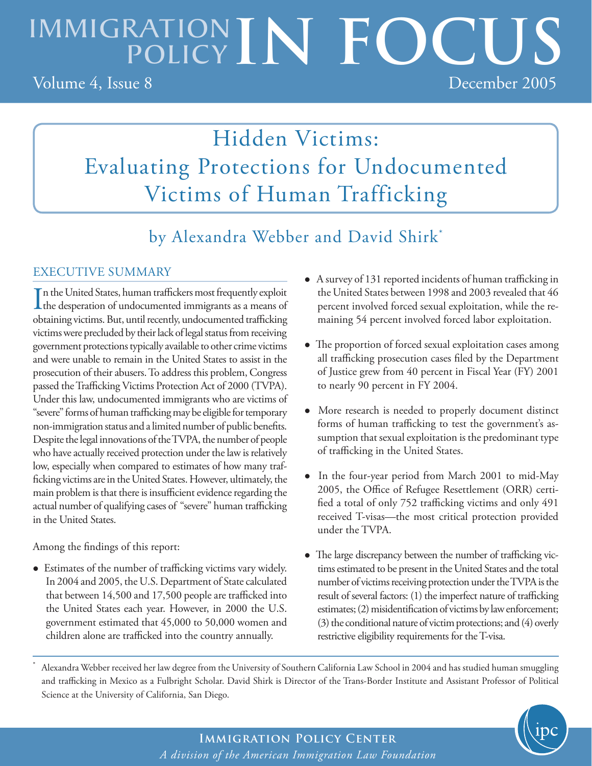# IMMIGRATION IN FOCUS

Volume 4, Issue 8 December 2005

# Hidden Victims: Evaluating Protections for Undocumented Victims of Human Trafficking

by Alexandra Webber and David Shirk\*

# EXECUTIVE SUMMARY

victims were precluded by their lack of legal status from receiving In the United States, human traffickers most frequently exploit<br>the desperation of undocumented immigrants as a means of n the United States, human traffickers most frequently exploit obtaining victims. But, until recently, undocumented trafficking government protections typically available to other crime victims and were unable to remain in the United States to assist in the prosecution of their abusers. To address this problem, Congress passed the Trafficking Victims Protection Act of 2000 (TVPA). Under this law, undocumented immigrants who are victims of "severe" forms of human trafficking may be eligible for temporary non-immigration status and a limited number of public benefits. Despite the legal innovations of the TVPA, the number of people who have actually received protection under the law is relatively low, especially when compared to estimates of how many trafficking victims are in the United States. However, ultimately, the main problem is that there is insufficient evidence regarding the actual number of qualifying cases of "severe" human trafficking in the United States.

Among the findings of this report:

\*

 Estimates of the number of trafficking victims vary widely. In 2004 and 2005, the U.S. Department of State calculated that between 14,500 and 17,500 people are trafficked into the United States each year. However, in 2000 the U.S. government estimated that 45,000 to 50,000 women and children alone are trafficked into the country annually.

- A survey of 131 reported incidents of human trafficking in the United States between 1998 and 2003 revealed that 46 percent involved forced sexual exploitation, while the remaining 54 percent involved forced labor exploitation.
- The proportion of forced sexual exploitation cases among all trafficking prosecution cases filed by the Department of Justice grew from 40 percent in Fiscal Year (FY) 2001 to nearly 90 percent in FY 2004.
- More research is needed to properly document distinct forms of human trafficking to test the government's assumption that sexual exploitation is the predominant type of trafficking in the United States.
- In the four-year period from March 2001 to mid-May 2005, the Office of Refugee Resettlement (ORR) certified a total of only 752 trafficking victims and only 491 received T-visas—the most critical protection provided under the TVPA.
- The large discrepancy between the number of trafficking victims estimated to be present in the United States and the total number of victims receiving protection under the TVPA is the result of several factors: (1) the imperfect nature of trafficking estimates; (2) misidentification of victims by law enforcement; (3) the conditional nature of victim protections; and (4) overly restrictive eligibility requirements for the T-visa.

 Alexandra Webber received her law degree from the University of Southern California Law School in 2004 and has studied human smuggling and trafficking in Mexico as a Fulbright Scholar. David Shirk is Director of the Trans-Border Institute and Assistant Professor of Political Science at the University of California, San Diego.

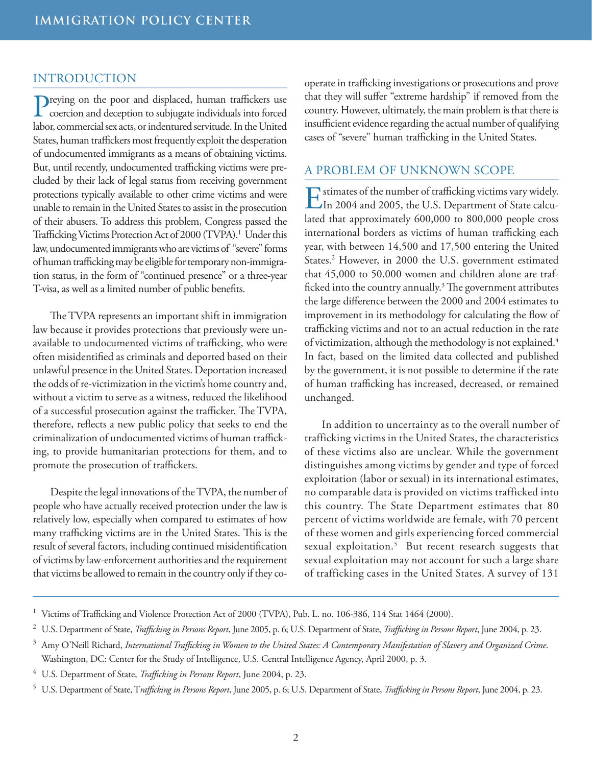# INTRODUCTION

**P**reying on the poor and displaced, human traffickers use  $\Gamma$  coercion and deception to subjugate individuals into forced labor, commercial sex acts, or indentured servitude. In the United States, human traffickers most frequently exploit the desperation of undocumented immigrants as a means of obtaining victims. But, until recently, undocumented trafficking victims were precluded by their lack of legal status from receiving government protections typically available to other crime victims and were unable to remain in the United States to assist in the prosecution of their abusers. To address this problem, Congress passed the Trafficking Victims Protection Act of 2000 (TVPA).<sup>1</sup> Under this law, undocumented immigrants who are victims of "severe" forms of human trafficking may be eligible for temporary non-immigration status, in the form of "continued presence" or a three-year T-visa, as well as a limited number of public benefits.

The TVPA represents an important shift in immigration law because it provides protections that previously were unavailable to undocumented victims of trafficking, who were often misidentified as criminals and deported based on their unlawful presence in the United States. Deportation increased the odds of re-victimization in the victim's home country and, without a victim to serve as a witness, reduced the likelihood of a successful prosecution against the trafficker. The TVPA, therefore, reflects a new public policy that seeks to end the criminalization of undocumented victims of human trafficking, to provide humanitarian protections for them, and to promote the prosecution of traffickers.

Despite the legal innovations of the TVPA, the number of people who have actually received protection under the law is relatively low, especially when compared to estimates of how many trafficking victims are in the United States. This is the result of several factors, including continued misidentification of victims by law-enforcement authorities and the requirement that victims be allowed to remain in the country only if they cooperate in trafficking investigations or prosecutions and prove that they will suffer "extreme hardship" if removed from the country. However, ultimately, the main problem is that there is insufficient evidence regarding the actual number of qualifying cases of "severe" human trafficking in the United States.

# A PROBLEM OF UNKNOWN SCOPE

Estimates of the number of trafficking victims vary widely. In 2004 and 2005, the U.S. Department of State calculated that approximately 600,000 to 800,000 people cross international borders as victims of human trafficking each year, with between 14,500 and 17,500 entering the United States.<sup>2</sup> However, in 2000 the U.S. government estimated that 45,000 to 50,000 women and children alone are trafficked into the country annually.<sup>3</sup> The government attributes the large difference between the 2000 and 2004 estimates to improvement in its methodology for calculating the flow of trafficking victims and not to an actual reduction in the rate of victimization, although the methodology is not explained.<sup>4</sup> In fact, based on the limited data collected and published by the government, it is not possible to determine if the rate of human trafficking has increased, decreased, or remained unchanged.

In addition to uncertainty as to the overall number of trafficking victims in the United States, the characteristics of these victims also are unclear. While the government distinguishes among victims by gender and type of forced exploitation (labor or sexual) in its international estimates, no comparable data is provided on victims trafficked into this country. The State Department estimates that 80 percent of victims worldwide are female, with 70 percent of these women and girls experiencing forced commercial sexual exploitation.<sup>5</sup> But recent research suggests that sexual exploitation may not account for such a large share of trafficking cases in the United States. A survey of 131

<sup>&</sup>lt;sup>1</sup> Victims of Trafficking and Violence Protection Act of 2000 (TVPA), Pub. L. no. 106-386, 114 Stat 1464 (2000).

<sup>2</sup> U.S. Department of State, *Trafficking in Persons Report*, June 2005, p. 6; U.S. Department of State, *Trafficking in Persons Report*, June 2004, p. 23.

<sup>3</sup> Amy O'Neill Richard, *International Trafficking in Women to the United States: A Contemporary Manifestation of Slavery and Organized Crime*. Washington, DC: Center for the Study of Intelligence, U.S. Central Intelligence Agency, April 2000, p. 3.

<sup>4</sup> U.S. Department of State, *Trafficking in Persons Report*, June 2004, p. 23.

<sup>5</sup> U.S. Department of State, T*rafficking in Persons Report*, June 2005, p. 6; U.S. Department of State, *Trafficking in Persons Report*, June 2004, p. 23.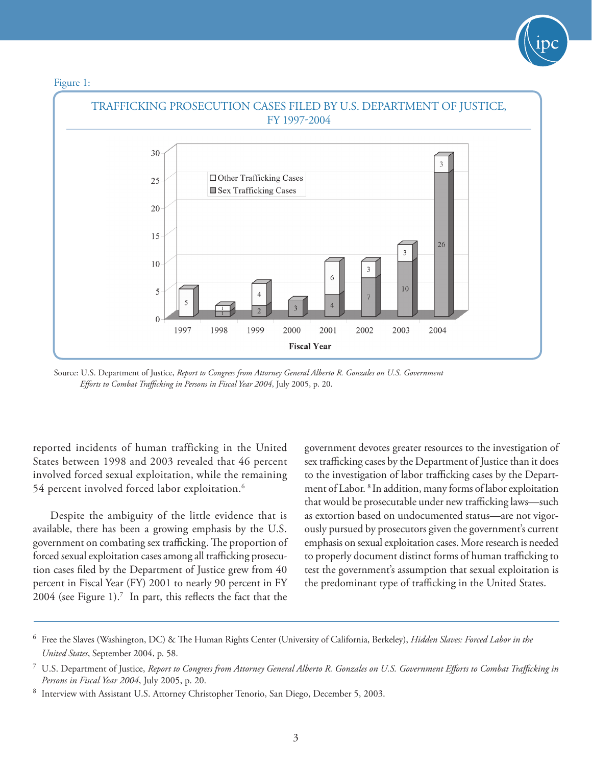



Source: U.S. Department of Justice, *Report to Congress from Attorney General Alberto R. Gonzales on U.S. Government Efforts to Combat Trafficking in Persons in Fiscal Year 2004*, July 2005, p. 20.

reported incidents of human trafficking in the United States between 1998 and 2003 revealed that 46 percent involved forced sexual exploitation, while the remaining 54 percent involved forced labor exploitation.6

Despite the ambiguity of the little evidence that is available, there has been a growing emphasis by the U.S. government on combating sex trafficking. The proportion of forced sexual exploitation cases among all trafficking prosecution cases filed by the Department of Justice grew from 40 percent in Fiscal Year (FY) 2001 to nearly 90 percent in FY 2004 (see Figure 1).<sup>7</sup> In part, this reflects the fact that the government devotes greater resources to the investigation of sex trafficking cases by the Department of Justice than it does to the investigation of labor trafficking cases by the Department of Labor. 8 In addition, many forms of labor exploitation that would be prosecutable under new trafficking laws—such as extortion based on undocumented status—are not vigorously pursued by prosecutors given the government's current emphasis on sexual exploitation cases. More research is needed to properly document distinct forms of human trafficking to test the government's assumption that sexual exploitation is the predominant type of trafficking in the United States.

<sup>6</sup> Free the Slaves (Washington, DC) & The Human Rights Center (University of California, Berkeley), *Hidden Slaves: Forced Labor in the United States*, September 2004, p. 58.

<sup>7</sup> U.S. Department of Justice, *Report to Congress from Attorney General Alberto R. Gonzales on U.S. Government Efforts to Combat Trafficking in Persons in Fiscal Year 2004*, July 2005, p. 20.

<sup>8</sup> Interview with Assistant U.S. Attorney Christopher Tenorio, San Diego, December 5, 2003.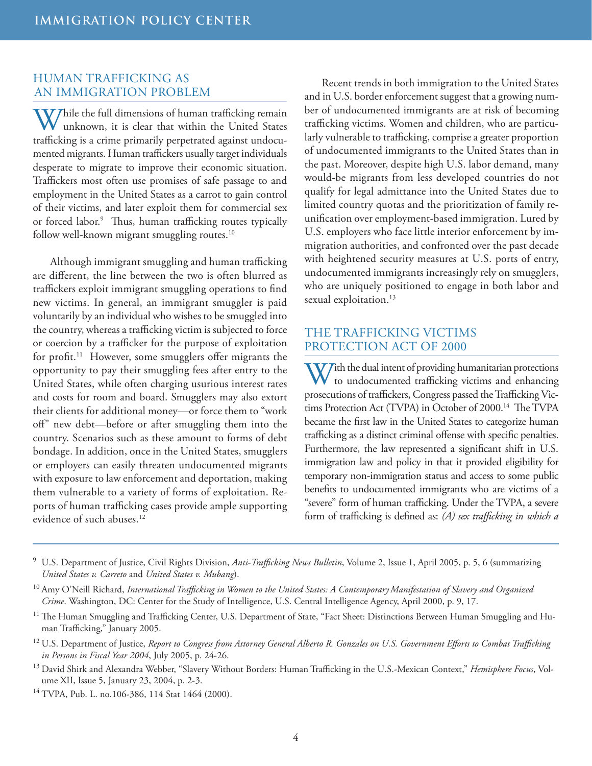# HUMAN TRAFFICKING AS AN IMMIGRATION PROBLEM

While the full dimensions of human trafficking remain unknown, it is clear that within the United States trafficking is a crime primarily perpetrated against undocumented migrants. Human traffickers usually target individuals desperate to migrate to improve their economic situation. Traffickers most often use promises of safe passage to and employment in the United States as a carrot to gain control of their victims, and later exploit them for commercial sex or forced labor.9 Thus, human trafficking routes typically follow well-known migrant smuggling routes.<sup>10</sup>

Although immigrant smuggling and human trafficking are different, the line between the two is often blurred as traffickers exploit immigrant smuggling operations to find new victims. In general, an immigrant smuggler is paid voluntarily by an individual who wishes to be smuggled into the country, whereas a trafficking victim is subjected to force or coercion by a trafficker for the purpose of exploitation for profit.11 However, some smugglers offer migrants the opportunity to pay their smuggling fees after entry to the United States, while often charging usurious interest rates and costs for room and board. Smugglers may also extort their clients for additional money—or force them to "work off" new debt—before or after smuggling them into the country. Scenarios such as these amount to forms of debt bondage. In addition, once in the United States, smugglers or employers can easily threaten undocumented migrants with exposure to law enforcement and deportation, making them vulnerable to a variety of forms of exploitation. Reports of human trafficking cases provide ample supporting evidence of such abuses.<sup>12</sup>

Recent trends in both immigration to the United States and in U.S. border enforcement suggest that a growing number of undocumented immigrants are at risk of becoming trafficking victims. Women and children, who are particularly vulnerable to trafficking, comprise a greater proportion of undocumented immigrants to the United States than in the past. Moreover, despite high U.S. labor demand, many would-be migrants from less developed countries do not qualify for legal admittance into the United States due to limited country quotas and the prioritization of family reunification over employment-based immigration. Lured by U.S. employers who face little interior enforcement by immigration authorities, and confronted over the past decade with heightened security measures at U.S. ports of entry, undocumented immigrants increasingly rely on smugglers, who are uniquely positioned to engage in both labor and sexual exploitation.<sup>13</sup>

# THE TRAFFICKING VICTIMS PROTECTION ACT OF 2000

With the dual intent of providing humanitarian protections<br>to undocumented trafficking victims and enhancing prosecutions of traffickers, Congress passed the Trafficking Victims Protection Act (TVPA) in October of 2000.<sup>14</sup> The TVPA became the first law in the United States to categorize human trafficking as a distinct criminal offense with specific penalties. Furthermore, the law represented a significant shift in U.S. immigration law and policy in that it provided eligibility for temporary non-immigration status and access to some public benefits to undocumented immigrants who are victims of a "severe" form of human trafficking. Under the TVPA, a severe form of trafficking is defined as: *(A) sex trafficking in which a* 

14 TVPA, Pub. L. no.106-386, 114 Stat 1464 (2000).

<sup>9</sup> U.S. Department of Justice, Civil Rights Division, *Anti-Trafficking News Bulletin*, Volume 2, Issue 1, April 2005, p. 5, 6 (summarizing *United States v. Carreto* and *United States v. Mubang*).

<sup>10</sup> Amy O'Neill Richard, *International Trafficking in Women to the United States: A ContemporaryManifestation of Slavery and Organized Crime*. Washington, DC: Center for the Study of Intelligence, U.S. Central Intelligence Agency, April 2000, p. 9, 17.

 $^{11}$  The Human Smuggling and Trafficking Center, U.S. Department of State, "Fact Sheet: Distinctions Between Human Smuggling and Human Trafficking," January 2005.

<sup>12</sup> U.S. Department of Justice, *Report to Congress from Attorney General Alberto R. Gonzales on U.S. Government Efforts to Combat Trafficking in Persons in Fiscal Year 2004*, July 2005, p. 24-26.

<sup>13</sup> David Shirk and Alexandra Webber, "Slavery Without Borders: Human Trafficking in the U.S.-Mexican Context," *Hemisphere Focus*, Volume XII, Issue 5, January 23, 2004, p. 2-3.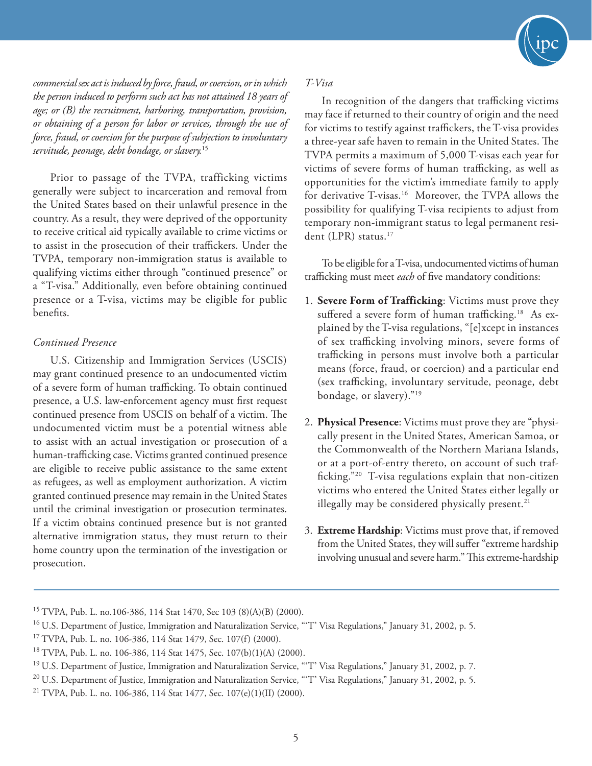

*commercial sex act is induced by force, fraud, or coercion, or in which the person induced to perform such act has not attained 18 years of age; or (B) the recruitment, harboring, transportation, provision, or obtaining of a person for labor or services, through the use of force, fraud, or coercion for the purpose of subjection to involuntary servitude, peonage, debt bondage, or slavery.*<sup>15</sup>

Prior to passage of the TVPA, trafficking victims generally were subject to incarceration and removal from the United States based on their unlawful presence in the country. As a result, they were deprived of the opportunity to receive critical aid typically available to crime victims or to assist in the prosecution of their traffickers. Under the TVPA, temporary non-immigration status is available to qualifying victims either through "continued presence" or a "T-visa." Additionally, even before obtaining continued presence or a T-visa, victims may be eligible for public benefits.

#### *Continued Presence*

U.S. Citizenship and Immigration Services (USCIS) may grant continued presence to an undocumented victim of a severe form of human trafficking. To obtain continued presence, a U.S. law-enforcement agency must first request continued presence from USCIS on behalf of a victim. The undocumented victim must be a potential witness able to assist with an actual investigation or prosecution of a human-trafficking case. Victims granted continued presence are eligible to receive public assistance to the same extent as refugees, as well as employment authorization. A victim granted continued presence may remain in the United States until the criminal investigation or prosecution terminates. If a victim obtains continued presence but is not granted alternative immigration status, they must return to their home country upon the termination of the investigation or prosecution.

#### *T-Visa*

In recognition of the dangers that trafficking victims may face if returned to their country of origin and the need for victims to testify against traffickers, the T-visa provides a three-year safe haven to remain in the United States. The TVPA permits a maximum of 5,000 T-visas each year for victims of severe forms of human trafficking, as well as opportunities for the victim's immediate family to apply for derivative T-visas.<sup>16</sup> Moreover, the TVPA allows the possibility for qualifying T-visa recipients to adjust from temporary non-immigrant status to legal permanent resident (LPR) status.<sup>17</sup>

To be eligible for a T-visa, undocumented victims of human trafficking must meet *each* of five mandatory conditions:

- 1. **Severe Form of Trafficking**: Victims must prove they suffered a severe form of human trafficking.<sup>18</sup> As explained by the T-visa regulations, "[e]xcept in instances of sex trafficking involving minors, severe forms of trafficking in persons must involve both a particular means (force, fraud, or coercion) and a particular end (sex trafficking, involuntary servitude, peonage, debt bondage, or slavery)."19
- 2. **Physical Presence**: Victims must prove they are "physically present in the United States, American Samoa, or the Commonwealth of the Northern Mariana Islands, or at a port-of-entry thereto, on account of such trafficking."20 T-visa regulations explain that non-citizen victims who entered the United States either legally or illegally may be considered physically present. $21$
- 3. **Extreme Hardship**: Victims must prove that, if removed from the United States, they will suffer "extreme hardship involving unusual and severe harm." This extreme-hardship

<sup>15</sup> TVPA, Pub. L. no.106-386, 114 Stat 1470, Sec 103 (8)(A)(B) (2000).

<sup>&</sup>lt;sup>16</sup> U.S. Department of Justice, Immigration and Naturalization Service, "T' Visa Regulations," January 31, 2002, p. 5.

<sup>&</sup>lt;sup>17</sup> TVPA, Pub. L. no. 106-386, 114 Stat 1479, Sec. 107(f) (2000).

<sup>18</sup> TVPA, Pub. L. no. 106-386, 114 Stat 1475, Sec. 107(b)(1)(A) (2000).

<sup>&</sup>lt;sup>19</sup> U.S. Department of Justice, Immigration and Naturalization Service, "T' Visa Regulations," January 31, 2002, p. 7.

 $20$  U.S. Department of Justice, Immigration and Naturalization Service, "T' Visa Regulations," January 31, 2002, p. 5.

<sup>&</sup>lt;sup>21</sup> TVPA, Pub. L. no. 106-386, 114 Stat 1477, Sec.  $107(e)(1)(II)$  (2000).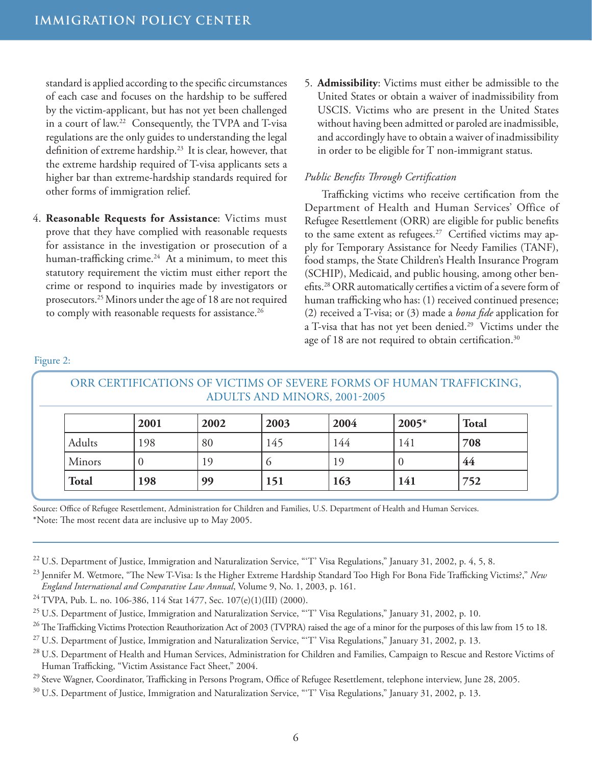standard is applied according to the specific circumstances of each case and focuses on the hardship to be suffered by the victim-applicant, but has not yet been challenged in a court of law.22 Consequently, the TVPA and T-visa regulations are the only guides to understanding the legal definition of extreme hardship.23 It is clear, however, that the extreme hardship required of T-visa applicants sets a higher bar than extreme-hardship standards required for other forms of immigration relief.

- 4. **Reasonable Requests for Assistance**: Victims must prove that they have complied with reasonable requests for assistance in the investigation or prosecution of a human-trafficking crime. $24$  At a minimum, to meet this statutory requirement the victim must either report the crime or respond to inquiries made by investigators or prosecutors.25 Minors under the age of 18 are not required to comply with reasonable requests for assistance.<sup>26</sup>
- 5. **Admissibility**: Victims must either be admissible to the United States or obtain a waiver of inadmissibility from USCIS. Victims who are present in the United States without having been admitted or paroled are inadmissible, and accordingly have to obtain a waiver of inadmissibility in order to be eligible for T non-immigrant status.

## *Public Benefits Through Certification*

Trafficking victims who receive certification from the Department of Health and Human Services' Office of Refugee Resettlement (ORR) are eligible for public benefits to the same extent as refugees.<sup>27</sup> Certified victims may apply for Temporary Assistance for Needy Families (TANF), food stamps, the State Children's Health Insurance Program (SCHIP), Medicaid, and public housing, among other benefits.28 ORR automatically certifies a victim of a severe form of human trafficking who has: (1) received continued presence; (2) received a T-visa; or (3) made a *bona fide* application for a T-visa that has not yet been denied.<sup>29</sup> Victims under the age of 18 are not required to obtain certification.<sup>30</sup>

#### Figure 2:

| ORR CERTIFICATIONS OF VICTIMS OF SEVERE FORMS OF HUMAN TRAFFICKING,<br>ADULTS AND MINORS, 2001-2005 |      |      |          |      |         |              |  |  |  |
|-----------------------------------------------------------------------------------------------------|------|------|----------|------|---------|--------------|--|--|--|
|                                                                                                     | 2001 | 2002 | 2003     | 2004 | $2005*$ | <b>Total</b> |  |  |  |
| Adults                                                                                              | 198  | 80   | 145      | 144  | 141     | 708          |  |  |  |
| Minors                                                                                              |      | 19   | $\Omega$ | 19   |         | 44           |  |  |  |
| <b>Total</b>                                                                                        | 198  | 99   | 151      | 163  | 141     | 752          |  |  |  |

Source: Office of Refugee Resettlement, Administration for Children and Families, U.S. Department of Health and Human Services. \*Note: The most recent data are inclusive up to May 2005.

- <sup>22</sup> U.S. Department of Justice, Immigration and Naturalization Service, "T' Visa Regulations," January 31, 2002, p. 4, 5, 8.
- 23 Jennifer M. Wetmore, "The New T-Visa: Is the Higher Extreme Hardship Standard Too High For Bona Fide Trafficking Victims?," *New England International and Comparative Law Annual*, Volume 9, No. 1, 2003, p. 161.
- <sup>24</sup> TVPA, Pub. L. no. 106-386, 114 Stat 1477, Sec. 107(e)(1)(III) (2000).
- <sup>25</sup> U.S. Department of Justice, Immigration and Naturalization Service, "T' Visa Regulations," January 31, 2002, p. 10.
- <sup>26</sup> The Trafficking Victims Protection Reauthorization Act of 2003 (TVPRA) raised the age of a minor for the purposes of this law from 15 to 18.
- <sup>27</sup> U.S. Department of Justice, Immigration and Naturalization Service, "'T' Visa Regulations," January 31, 2002, p. 13.
- <sup>28</sup> U.S. Department of Health and Human Services, Administration for Children and Families, Campaign to Rescue and Restore Victims of Human Trafficking, "Victim Assistance Fact Sheet," 2004.
- <sup>29</sup> Steve Wagner, Coordinator, Trafficking in Persons Program, Office of Refugee Resettlement, telephone interview, June 28, 2005.
- <sup>30</sup> U.S. Department of Justice, Immigration and Naturalization Service, "T' Visa Regulations," January 31, 2002, p. 13.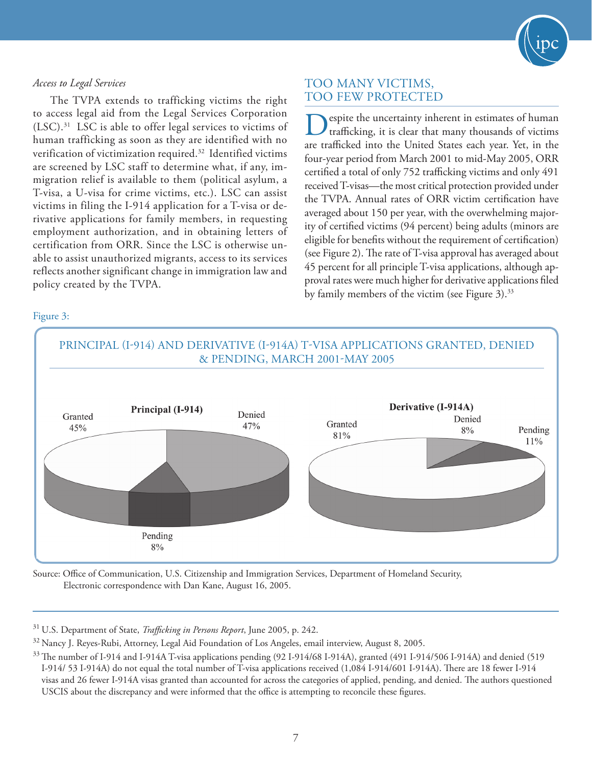

# *Access to Legal Services*

The TVPA extends to trafficking victims the right to access legal aid from the Legal Services Corporation (LSC).31 LSC is able to offer legal services to victims of human trafficking as soon as they are identified with no verification of victimization required.32 Identified victims are screened by LSC staff to determine what, if any, immigration relief is available to them (political asylum, a T-visa, a U-visa for crime victims, etc.). LSC can assist victims in filing the I-914 application for a T-visa or derivative applications for family members, in requesting employment authorization, and in obtaining letters of certification from ORR. Since the LSC is otherwise unable to assist unauthorized migrants, access to its services reflects another significant change in immigration law and policy created by the TVPA.

# TOO MANY VICTIMS, TOO FEW PROTECTED

Despite the uncertainty inherent in estimates of human trafficking, it is clear that many thousands of victims are trafficked into the United States each year. Yet, in the four-year period from March 2001 to mid-May 2005, ORR certified a total of only 752 trafficking victims and only 491 received T-visas—the most critical protection provided under the TVPA. Annual rates of ORR victim certification have averaged about 150 per year, with the overwhelming majority of certified victims (94 percent) being adults (minors are eligible for benefits without the requirement of certification) (see Figure 2). The rate of T-visa approval has averaged about 45 percent for all principle T-visa applications, although approval rates were much higher for derivative applications filed by family members of the victim (see Figure 3).<sup>33</sup>

# PRINCIPAL (I-914) AND DERIVATIVE (I-914A) T-VISA APPLICATIONS GRANTED, DENIED & PENDING, MARCH 2001-MAY 2005 Derivative (I-914A) Principal (I-914) Denied Granted Denied Granted 47% 45% Pending  $8%$ 81% 11% Pending  $8%$

Source: Office of Communication, U.S. Citizenship and Immigration Services, Department of Homeland Security, Electronic correspondence with Dan Kane, August 16, 2005.

31 U.S. Department of State, *Trafficking in Persons Report*, June 2005, p. 242.

<sup>32</sup> Nancy J. Reyes-Rubi, Attorney, Legal Aid Foundation of Los Angeles, email interview, August 8, 2005.

# Figure 3:

<sup>&</sup>lt;sup>33</sup> The number of I-914 and I-914A T-visa applications pending (92 I-914/68 I-914A), granted (491 I-914/506 I-914A) and denied (519 I-914/ 53 I-914A) do not equal the total number of T-visa applications received (1,084 I-914/601 I-914A). There are 18 fewer I-914 visas and 26 fewer I-914A visas granted than accounted for across the categories of applied, pending, and denied. The authors questioned USCIS about the discrepancy and were informed that the office is attempting to reconcile these figures.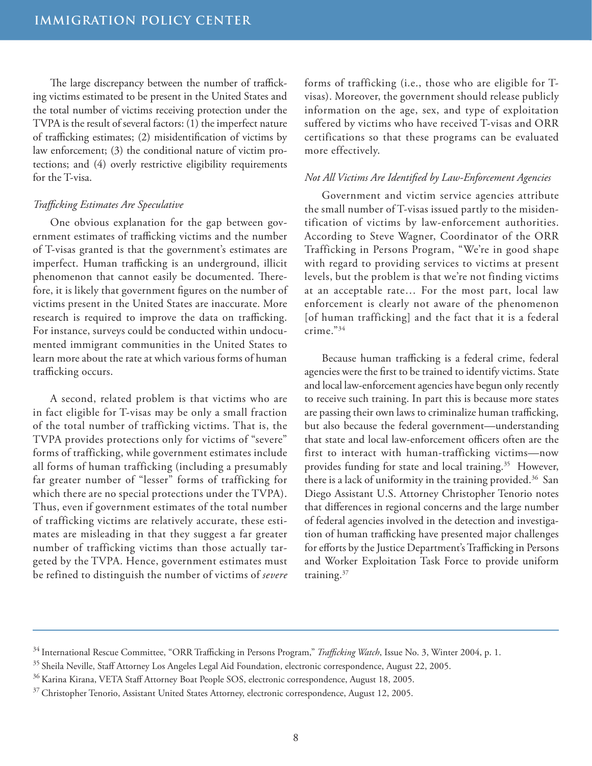The large discrepancy between the number of trafficking victims estimated to be present in the United States and the total number of victims receiving protection under the TVPA is the result of several factors: (1) the imperfect nature of trafficking estimates; (2) misidentification of victims by law enforcement; (3) the conditional nature of victim protections; and (4) overly restrictive eligibility requirements for the T-visa.

#### *Trafficking Estimates Are Speculative*

One obvious explanation for the gap between government estimates of trafficking victims and the number of T-visas granted is that the government's estimates are imperfect. Human trafficking is an underground, illicit phenomenon that cannot easily be documented. Therefore, it is likely that government figures on the number of victims present in the United States are inaccurate. More research is required to improve the data on trafficking. For instance, surveys could be conducted within undocumented immigrant communities in the United States to learn more about the rate at which various forms of human trafficking occurs.

A second, related problem is that victims who are in fact eligible for T-visas may be only a small fraction of the total number of trafficking victims. That is, the TVPA provides protections only for victims of "severe" forms of trafficking, while government estimates include all forms of human trafficking (including a presumably far greater number of "lesser" forms of trafficking for which there are no special protections under the TVPA). Thus, even if government estimates of the total number of trafficking victims are relatively accurate, these estimates are misleading in that they suggest a far greater number of trafficking victims than those actually targeted by the TVPA. Hence, government estimates must be refined to distinguish the number of victims of *severe* forms of trafficking (i.e., those who are eligible for Tvisas). Moreover, the government should release publicly information on the age, sex, and type of exploitation suffered by victims who have received T-visas and ORR certifications so that these programs can be evaluated more effectively.

#### *Not All Victims Are Identified by Law-Enforcement Agencies*

Government and victim service agencies attribute the small number of T-visas issued partly to the misidentification of victims by law-enforcement authorities. According to Steve Wagner, Coordinator of the ORR Trafficking in Persons Program, "We're in good shape with regard to providing services to victims at present levels, but the problem is that we're not finding victims at an acceptable rate… For the most part, local law enforcement is clearly not aware of the phenomenon [of human trafficking] and the fact that it is a federal crime."34

Because human trafficking is a federal crime, federal agencies were the first to be trained to identify victims. State and local law-enforcement agencies have begun only recently to receive such training. In part this is because more states are passing their own laws to criminalize human trafficking, but also because the federal government—understanding that state and local law-enforcement officers often are the first to interact with human-trafficking victims—now provides funding for state and local training.<sup>35</sup> However, there is a lack of uniformity in the training provided.<sup>36</sup> San Diego Assistant U.S. Attorney Christopher Tenorio notes that differences in regional concerns and the large number of federal agencies involved in the detection and investigation of human trafficking have presented major challenges for efforts by the Justice Department's Trafficking in Persons and Worker Exploitation Task Force to provide uniform training.37

<sup>34</sup> International Rescue Committee, "ORR Trafficking in Persons Program," *Trafficking Watch*, Issue No. 3, Winter 2004, p. 1.

<sup>&</sup>lt;sup>35</sup> Sheila Neville, Staff Attorney Los Angeles Legal Aid Foundation, electronic correspondence, August 22, 2005.

<sup>&</sup>lt;sup>36</sup> Karina Kirana, VETA Staff Attorney Boat People SOS, electronic correspondence, August 18, 2005.

<sup>&</sup>lt;sup>37</sup> Christopher Tenorio, Assistant United States Attorney, electronic correspondence, August 12, 2005.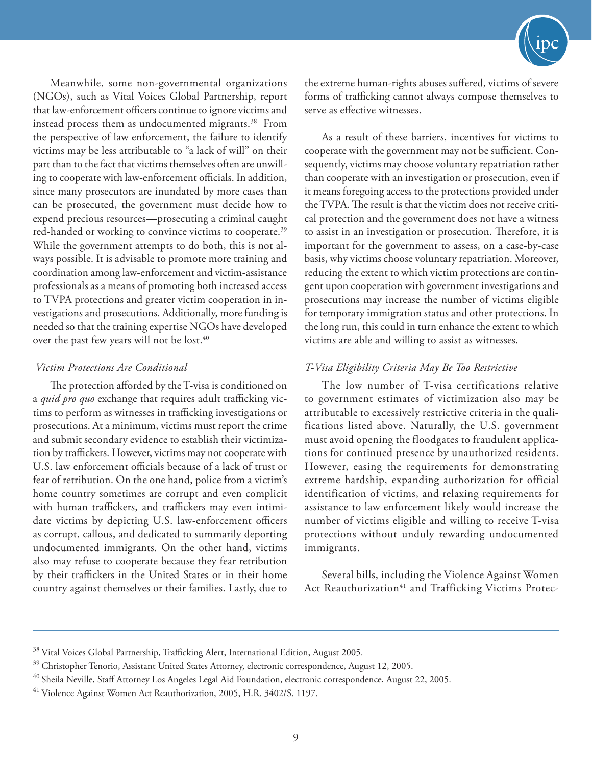Meanwhile, some non-governmental organizations (NGOs), such as Vital Voices Global Partnership, report that law-enforcement officers continue to ignore victims and instead process them as undocumented migrants.<sup>38</sup> From the perspective of law enforcement, the failure to identify victims may be less attributable to "a lack of will" on their part than to the fact that victims themselves often are unwilling to cooperate with law-enforcement officials. In addition, since many prosecutors are inundated by more cases than can be prosecuted, the government must decide how to expend precious resources—prosecuting a criminal caught red-handed or working to convince victims to cooperate.<sup>39</sup> While the government attempts to do both, this is not always possible. It is advisable to promote more training and coordination among law-enforcement and victim-assistance professionals as a means of promoting both increased access to TVPA protections and greater victim cooperation in investigations and prosecutions. Additionally, more funding is needed so that the training expertise NGOs have developed over the past few years will not be lost.<sup>40</sup>

## *Victim Protections Are Conditional*

The protection afforded by the T-visa is conditioned on a *quid pro quo* exchange that requires adult trafficking victims to perform as witnesses in trafficking investigations or prosecutions. At a minimum, victims must report the crime and submit secondary evidence to establish their victimization by traffickers. However, victims may not cooperate with U.S. law enforcement officials because of a lack of trust or fear of retribution. On the one hand, police from a victim's home country sometimes are corrupt and even complicit with human traffickers, and traffickers may even intimidate victims by depicting U.S. law-enforcement officers as corrupt, callous, and dedicated to summarily deporting undocumented immigrants. On the other hand, victims also may refuse to cooperate because they fear retribution by their traffickers in the United States or in their home country against themselves or their families. Lastly, due to



the extreme human-rights abuses suffered, victims of severe forms of trafficking cannot always compose themselves to serve as effective witnesses.

As a result of these barriers, incentives for victims to cooperate with the government may not be sufficient. Consequently, victims may choose voluntary repatriation rather than cooperate with an investigation or prosecution, even if it means foregoing access to the protections provided under the TVPA. The result is that the victim does not receive critical protection and the government does not have a witness to assist in an investigation or prosecution. Therefore, it is important for the government to assess, on a case-by-case basis, why victims choose voluntary repatriation. Moreover, reducing the extent to which victim protections are contingent upon cooperation with government investigations and prosecutions may increase the number of victims eligible for temporary immigration status and other protections. In the long run, this could in turn enhance the extent to which victims are able and willing to assist as witnesses.

# *T-Visa Eligibility Criteria May Be Too Restrictive*

The low number of T-visa certifications relative to government estimates of victimization also may be attributable to excessively restrictive criteria in the qualifications listed above. Naturally, the U.S. government must avoid opening the floodgates to fraudulent applications for continued presence by unauthorized residents. However, easing the requirements for demonstrating extreme hardship, expanding authorization for official identification of victims, and relaxing requirements for assistance to law enforcement likely would increase the number of victims eligible and willing to receive T-visa protections without unduly rewarding undocumented immigrants.

Several bills, including the Violence Against Women Act Reauthorization<sup>41</sup> and Trafficking Victims Protec-

<sup>&</sup>lt;sup>38</sup> Vital Voices Global Partnership, Trafficking Alert, International Edition, August 2005.

<sup>&</sup>lt;sup>39</sup> Christopher Tenorio, Assistant United States Attorney, electronic correspondence, August 12, 2005.

<sup>&</sup>lt;sup>40</sup> Sheila Neville, Staff Attorney Los Angeles Legal Aid Foundation, electronic correspondence, August 22, 2005.

<sup>41</sup> Violence Against Women Act Reauthorization, 2005, H.R. 3402/S. 1197.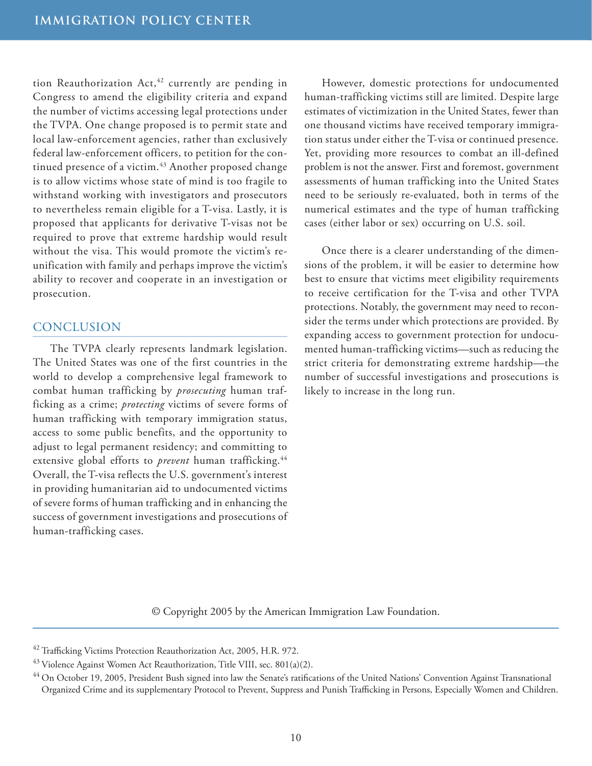tion Reauthorization Act, $42$  currently are pending in Congress to amend the eligibility criteria and expand the number of victims accessing legal protections under the TVPA. One change proposed is to permit state and local law-enforcement agencies, rather than exclusively federal law-enforcement officers, to petition for the continued presence of a victim.<sup>43</sup> Another proposed change is to allow victims whose state of mind is too fragile to withstand working with investigators and prosecutors to nevertheless remain eligible for a T-visa. Lastly, it is proposed that applicants for derivative T-visas not be required to prove that extreme hardship would result without the visa. This would promote the victim's reunification with family and perhaps improve the victim's ability to recover and cooperate in an investigation or prosecution.

# **CONCLUSION**

The TVPA clearly represents landmark legislation. The United States was one of the first countries in the world to develop a comprehensive legal framework to combat human trafficking by *prosecuting* human trafficking as a crime; *protecting* victims of severe forms of human trafficking with temporary immigration status, access to some public benefits, and the opportunity to adjust to legal permanent residency; and committing to extensive global efforts to *prevent* human trafficking.<sup>44</sup> Overall, the T-visa reflects the U.S. government's interest in providing humanitarian aid to undocumented victims of severe forms of human trafficking and in enhancing the success of government investigations and prosecutions of human-trafficking cases.

However, domestic protections for undocumented human-trafficking victims still are limited. Despite large estimates of victimization in the United States, fewer than one thousand victims have received temporary immigration status under either the T-visa or continued presence. Yet, providing more resources to combat an ill-defined problem is not the answer. First and foremost, government assessments of human trafficking into the United States need to be seriously re-evaluated, both in terms of the numerical estimates and the type of human trafficking cases (either labor or sex) occurring on U.S. soil.

Once there is a clearer understanding of the dimensions of the problem, it will be easier to determine how best to ensure that victims meet eligibility requirements to receive certification for the T-visa and other TVPA protections. Notably, the government may need to reconsider the terms under which protections are provided. By expanding access to government protection for undocumented human-trafficking victims—such as reducing the strict criteria for demonstrating extreme hardship—the number of successful investigations and prosecutions is likely to increase in the long run.

© Copyright 2005 by the American Immigration Law Foundation.

<sup>&</sup>lt;sup>42</sup> Trafficking Victims Protection Reauthorization Act, 2005, H.R. 972.

 $^{43}$  Violence Against Women Act Reauthorization, Title VIII, sec.  $801(a)(2)$ .

<sup>&</sup>lt;sup>44</sup> On October 19, 2005, President Bush signed into law the Senate's ratifications of the United Nations' Convention Against Transnational Organized Crime and its supplementary Protocol to Prevent, Suppress and Punish Trafficking in Persons, Especially Women and Children.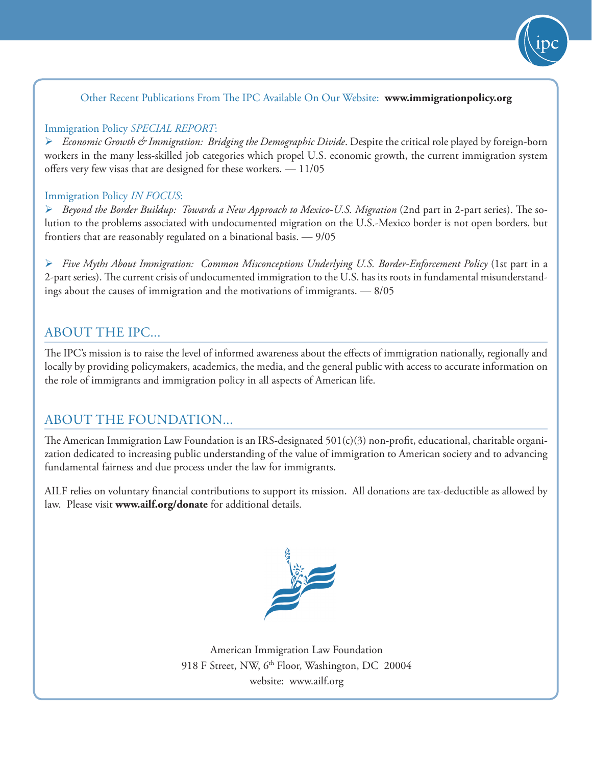

Other Recent Publications From The IPC Available On Our Website: **www.immigrationpolicy.org**

# Immigration Policy *SPECIAL REPORT*:

 *Economic Growth & Immigration: Bridging the Demographic Divide*. Despite the critical role played by foreign-born workers in the many less-skilled job categories which propel U.S. economic growth, the current immigration system offers very few visas that are designed for these workers. — 11/05

# Immigration Policy *IN FOCUS*:

 *Beyond the Border Buildup: Towards a New Approach to Mexico-U.S. Migration* (2nd part in 2-part series). The solution to the problems associated with undocumented migration on the U.S.-Mexico border is not open borders, but frontiers that are reasonably regulated on a binational basis. — 9/05

 *Five Myths About Immigration: Common Misconceptions Underlying U.S. Border-Enforcement Policy* (1st part in a 2-part series). The current crisis of undocumented immigration to the U.S. has its roots in fundamental misunderstandings about the causes of immigration and the motivations of immigrants. — 8/05

# ABOUT THE IPC...

The IPC's mission is to raise the level of informed awareness about the effects of immigration nationally, regionally and locally by providing policymakers, academics, the media, and the general public with access to accurate information on the role of immigrants and immigration policy in all aspects of American life.

# ABOUT THE FOUNDATION...

The American Immigration Law Foundation is an IRS-designated 501(c)(3) non-profit, educational, charitable organization dedicated to increasing public understanding of the value of immigration to American society and to advancing fundamental fairness and due process under the law for immigrants.

AILF relies on voluntary financial contributions to support its mission. All donations are tax-deductible as allowed by law. Please visit **www.ailf.org/donate** for additional details.



American Immigration Law Foundation 918 F Street, NW, 6<sup>th</sup> Floor, Washington, DC 20004 website: www.ailf.org